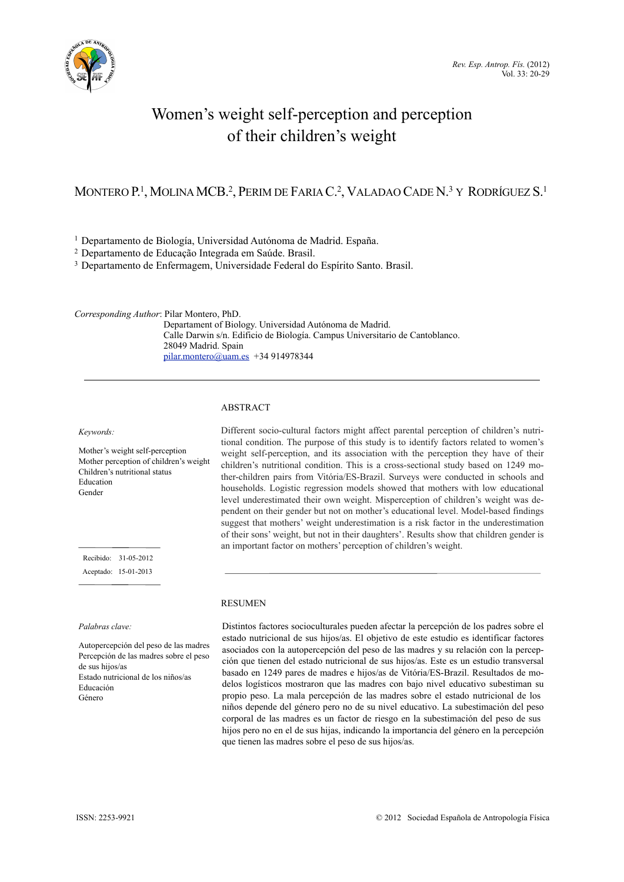

# Women's weight self-perception and perception of their children's weight

# MONTERO P.<sup>1</sup>, MOLINA MCB.<sup>2</sup>, PERIM DE FARIA C.<sup>2</sup>, VALADAO CADE N.<sup>3</sup> Y RODRÍGUEZ S.<sup>1</sup>

1 Departamento de Biología, Universidad Autónoma de Madrid. España.

2 Departamento de Educação Integrada em Saúde. Brasil.

3 Departamento de Enfermagem, Universidade Federal do Espírito Santo. Brasil.

*Corresponding Author*: Pilar Montero, PhD. Departament of Biology. Universidad Autónoma de Madrid. Calle Darwin s/n. Edificio de Biología. Campus Universitario de Cantoblanco. 28049 Madrid. Spain [pilar.montero@uam.es](mailto:pilar.montero@uam.es) +34 914978344

# ABSTRACT

*Keywords:*

Mother's weight self-perception Mother perception of children's weight Children's nutritional status Education Gender

 Recibido: 31-05-2012 Aceptado: 15-01-2013

*Palabras clave:*

Autopercepción del peso de las madres Percepción de las madres sobre el peso de sus hijos/as Estado nutricional de los niños/as Educación Género

Different socio-cultural factors might affect parental perception of children's nutritional condition. The purpose of this study is to identify factors related to women's weight self-perception, and its association with the perception they have of their children's nutritional condition. This is a cross-sectional study based on 1249 mother-children pairs from Vitória/ES-Brazil. Surveys were conducted in schools and households. Logistic regression models showed that mothers with low educational level underestimated their own weight. Misperception of children's weight was dependent on their gender but not on mother's educational level. Model-based findings suggest that mothers' weight underestimation is a risk factor in the underestimation of their sons' weight, but not in their daughters'. Results show that children gender is an important factor on mothers' perception of children's weight.

# RESUMEN

Distintos factores socioculturales pueden afectar la percepción de los padres sobre el estado nutricional de sus hijos/as. El objetivo de este estudio es identificar factores asociados con la autopercepción del peso de las madres y su relación con la percepción que tienen del estado nutricional de sus hijos/as. Este es un estudio transversal basado en 1249 pares de madres e hijos/as de Vitória/ES-Brazil. Resultados de modelos logísticos mostraron que las madres con bajo nivel educativo subestiman su propio peso. La mala percepción de las madres sobre el estado nutricional de los niños depende del género pero no de su nivel educativo. La subestimación del peso corporal de las madres es un factor de riesgo en la subestimación del peso de sus hijos pero no en el de sus hijas, indicando la importancia del género en la percepción que tienen las madres sobre el peso de sus hijos/as.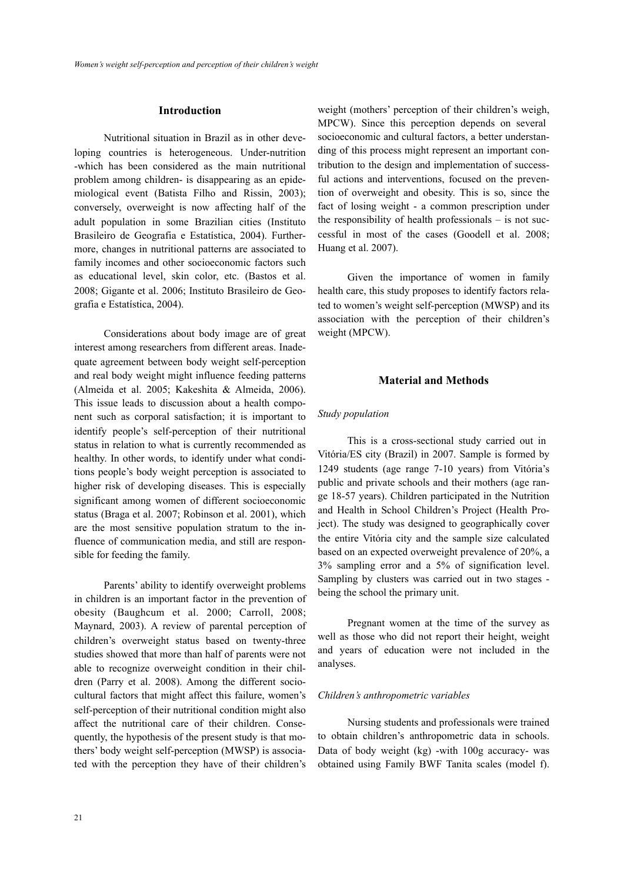# **Introduction**

 Nutritional situation in Brazil as in other developing countries is heterogeneous. Under-nutrition -which has been considered as the main nutritional problem among children- is disappearing as an epidemiological event (Batista Filho and Rissin, 2003); conversely, overweight is now affecting half of the adult population in some Brazilian cities (Instituto Brasileiro de Geografia e Estatística, 2004). Furthermore, changes in nutritional patterns are associated to family incomes and other socioeconomic factors such as educational level, skin color, etc. (Bastos et al. 2008; Gigante et al. 2006; Instituto Brasileiro de Geografia e Estatística, 2004).

 Considerations about body image are of great interest among researchers from different areas. Inadequate agreement between body weight self-perception and real body weight might influence feeding patterns (Almeida et al. 2005; Kakeshita & Almeida, 2006). This issue leads to discussion about a health component such as corporal satisfaction; it is important to identify people's self-perception of their nutritional status in relation to what is currently recommended as healthy. In other words, to identify under what conditions people's body weight perception is associated to higher risk of developing diseases. This is especially significant among women of different socioeconomic status (Braga et al. 2007; Robinson et al. 2001), which are the most sensitive population stratum to the influence of communication media, and still are responsible for feeding the family.

 Parents' ability to identify overweight problems in children is an important factor in the prevention of obesity (Baughcum et al. 2000; Carroll, 2008; Maynard, 2003). A review of parental perception of children's overweight status based on twenty-three studies showed that more than half of parents were not able to recognize overweight condition in their children (Parry et al. 2008). Among the different sociocultural factors that might affect this failure, women's self-perception of their nutritional condition might also affect the nutritional care of their children. Consequently, the hypothesis of the present study is that mothers' body weight self-perception (MWSP) is associated with the perception they have of their children's

weight (mothers' perception of their children's weigh, MPCW). Since this perception depends on several socioeconomic and cultural factors, a better understanding of this process might represent an important contribution to the design and implementation of successful actions and interventions, focused on the prevention of overweight and obesity. This is so, since the fact of losing weight - a common prescription under the responsibility of health professionals – is not successful in most of the cases (Goodell et al. 2008; Huang et al. 2007).

 Given the importance of women in family health care, this study proposes to identify factors related to women's weight self-perception (MWSP) and its association with the perception of their children's weight (MPCW).

#### **Material and Methods**

#### *Study population*

 This is a cross-sectional study carried out in Vitória/ES city (Brazil) in 2007. Sample is formed by 1249 students (age range 7-10 years) from Vitória's public and private schools and their mothers (age range 18-57 years). Children participated in the Nutrition and Health in School Children's Project (Health Project). The study was designed to geographically cover the entire Vitória city and the sample size calculated based on an expected overweight prevalence of 20%, a 3% sampling error and a 5% of signification level. Sampling by clusters was carried out in two stages being the school the primary unit.

 Pregnant women at the time of the survey as well as those who did not report their height, weight and years of education were not included in the analyses.

## *Children's anthropometric variables*

 Nursing students and professionals were trained to obtain children's anthropometric data in schools. Data of body weight (kg) -with 100g accuracy- was obtained using Family BWF Tanita scales (model f).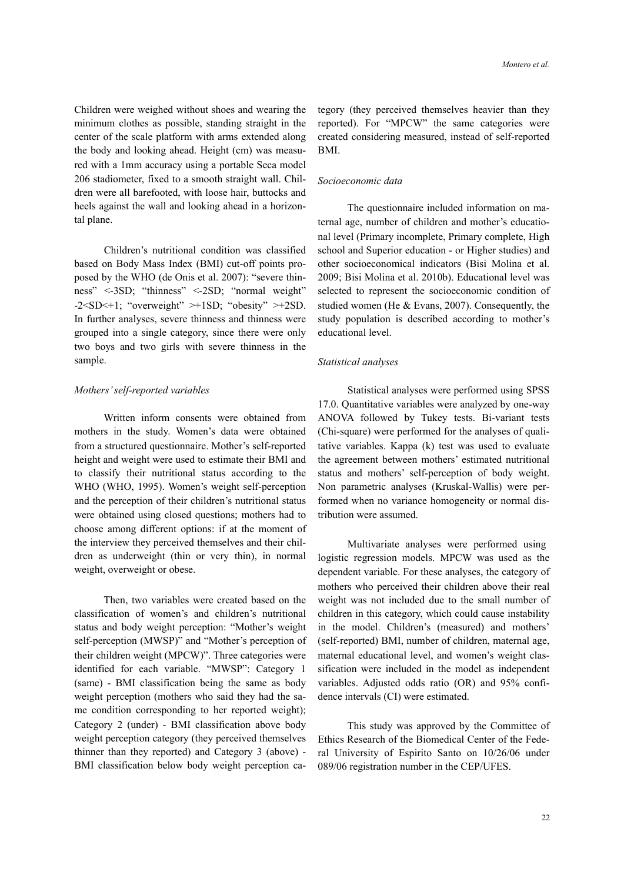Children were weighed without shoes and wearing the minimum clothes as possible, standing straight in the center of the scale platform with arms extended along the body and looking ahead. Height (cm) was measured with a 1mm accuracy using a portable Seca model 206 stadiometer, fixed to a smooth straight wall. Children were all barefooted, with loose hair, buttocks and heels against the wall and looking ahead in a horizontal plane.

 Children's nutritional condition was classified based on Body Mass Index (BMI) cut-off points proposed by the WHO (de Onis et al. 2007): "severe thinness" <-3SD; "thinness" <-2SD; "normal weight"  $-2 < SD < +1$ ; "overweight" >+1SD; "obesity" >+2SD. In further analyses, severe thinness and thinness were grouped into a single category, since there were only two boys and two girls with severe thinness in the sample.

#### *Mothers' self-reported variables*

 Written inform consents were obtained from mothers in the study. Women's data were obtained from a structured questionnaire. Mother's self-reported height and weight were used to estimate their BMI and to classify their nutritional status according to the WHO (WHO, 1995). Women's weight self-perception and the perception of their children's nutritional status were obtained using closed questions; mothers had to choose among different options: if at the moment of the interview they perceived themselves and their children as underweight (thin or very thin), in normal weight, overweight or obese.

 Then, two variables were created based on the classification of women's and children's nutritional status and body weight perception: "Mother's weight self-perception (MWSP)" and "Mother's perception of their children weight (MPCW)". Three categories were identified for each variable. "MWSP": Category 1 (same) - BMI classification being the same as body weight perception (mothers who said they had the same condition corresponding to her reported weight); Category 2 (under) - BMI classification above body weight perception category (they perceived themselves thinner than they reported) and Category 3 (above) - BMI classification below body weight perception category (they perceived themselves heavier than they reported). For "MPCW" the same categories were created considering measured, instead of self-reported BMI.

# *Socioeconomic data*

 The questionnaire included information on maternal age, number of children and mother's educational level (Primary incomplete, Primary complete, High school and Superior education - or Higher studies) and other socioeconomical indicators (Bisi Molina et al. 2009; Bisi Molina et al. 2010b). Educational level was selected to represent the socioeconomic condition of studied women (He & Evans, 2007). Consequently, the study population is described according to mother's educational level.

### *Statistical analyses*

 Statistical analyses were performed using SPSS 17.0. Quantitative variables were analyzed by one-way ANOVA followed by Tukey tests. Bi-variant tests (Chi-square) were performed for the analyses of qualitative variables. Kappa (k) test was used to evaluate the agreement between mothers' estimated nutritional status and mothers' self-perception of body weight. Non parametric analyses (Kruskal-Wallis) were performed when no variance homogeneity or normal distribution were assumed.

 Multivariate analyses were performed using logistic regression models. MPCW was used as the dependent variable. For these analyses, the category of mothers who perceived their children above their real weight was not included due to the small number of children in this category, which could cause instability in the model. Children's (measured) and mothers' (self-reported) BMI, number of children, maternal age, maternal educational level, and women's weight classification were included in the model as independent variables. Adjusted odds ratio (OR) and 95% confidence intervals (CI) were estimated.

 This study was approved by the Committee of Ethics Research of the Biomedical Center of the Federal University of Espirito Santo on 10/26/06 under 089/06 registration number in the CEP/UFES.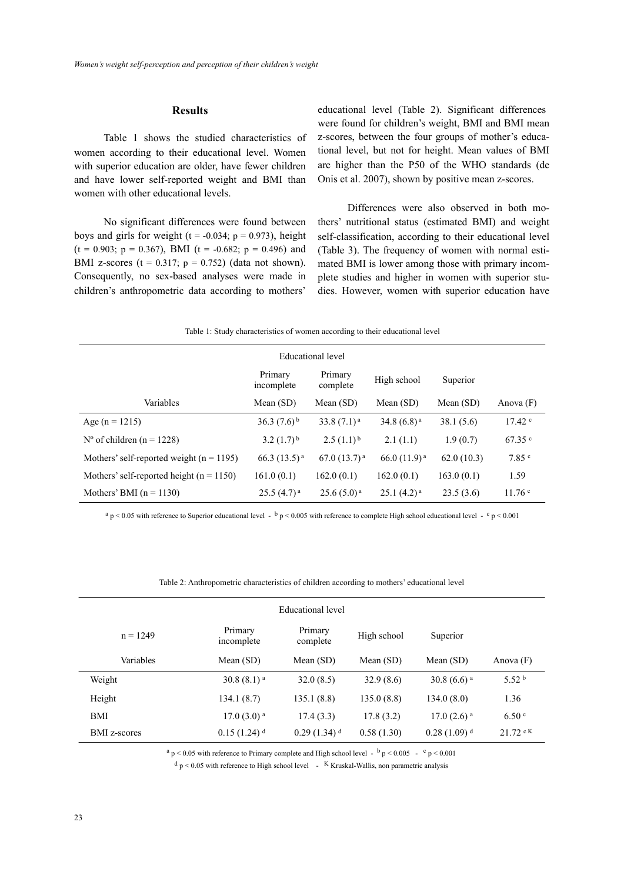# **Results**

 Table 1 shows the studied characteristics of women according to their educational level. Women with superior education are older, have fewer children and have lower self-reported weight and BMI than women with other educational levels.

 No significant differences were found between boys and girls for weight ( $t = -0.034$ ;  $p = 0.973$ ), height  $(t = 0.903; p = 0.367)$ , BMI  $(t = -0.682; p = 0.496)$  and BMI z-scores ( $t = 0.317$ ;  $p = 0.752$ ) (data not shown). Consequently, no sex-based analyses were made in children's anthropometric data according to mothers'

educational level (Table 2). Significant differences were found for children's weight, BMI and BMI mean z-scores, between the four groups of mother's educational level, but not for height. Mean values of BMI are higher than the P50 of the WHO standards (de Onis et al. 2007), shown by positive mean z-scores.

 Differences were also observed in both mothers' nutritional status (estimated BMI) and weight self-classification, according to their educational level (Table 3). The frequency of women with normal estimated BMI is lower among those with primary incomplete studies and higher in women with superior studies. However, women with superior education have

|  | Table 1: Study characteristics of women according to their educational level |  |  |  |  |
|--|------------------------------------------------------------------------------|--|--|--|--|
|  |                                                                              |  |  |  |  |

| Educational level                            |                     |                         |                  |             |                   |  |  |
|----------------------------------------------|---------------------|-------------------------|------------------|-------------|-------------------|--|--|
|                                              | Primary<br>complete | High school<br>Superior |                  |             |                   |  |  |
| Variables                                    | Mean $(SD)$         | Mean $(SD)$             | Mean $(SD)$      | Mean $(SD)$ | Anova $(F)$       |  |  |
| Age (n = 1215)                               | $36.3(7.6)^{b}$     | $33.8(7.1)^a$           | 34.8 $(6.8)^a$   | 38.1(5.6)   | $17.42$ $\degree$ |  |  |
| $N^{\circ}$ of children (n = 1228)           | $3.2(1.7)^{b}$      | $2.5(1.1)^{b}$          | 2.1(1.1)         | 1.9(0.7)    | $67.35$ c         |  |  |
| Mothers' self-reported weight ( $n = 1195$ ) | $66.3(13.5)^{a}$    | 67.0(13.7) <sup>a</sup> | $66.0(11.9)^{a}$ | 62.0(10.3)  | 7.85 <sup>c</sup> |  |  |
| Mothers' self-reported height ( $n = 1150$ ) | 161.0(0.1)          | 162.0(0.1)              | 162.0(0.1)       | 163.0(0.1)  | 1.59              |  |  |
| Mothers' BMI $(n = 1130)$                    | $25.5(4.7)^{a}$     | $25.6(5.0)^{a}$         | $25.1(4.2)^{a}$  | 23.5(3.6)   | 11.76 c           |  |  |

 $a_p < 0.05$  with reference to Superior educational level  $\rightarrow b_p < 0.005$  with reference to complete High school educational level  $\rightarrow c_p < 0.001$ 

Table 2: Anthropometric characteristics of children according to mothers' educational level

|                     |                          | <b>Educational level</b> |             |                          |                     |
|---------------------|--------------------------|--------------------------|-------------|--------------------------|---------------------|
| $n = 1249$          | Primary<br>incomplete    | Primary<br>complete      | High school | Superior                 |                     |
| Variables           | Mean $(SD)$              | Mean $(SD)$              | Mean $(SD)$ | Mean $(SD)$              | Anova $(F)$         |
| Weight              | $30.8(8.1)$ <sup>a</sup> | 32.0(8.5)                | 32.9(8.6)   | $30.8(6.6)$ <sup>a</sup> | 5.52 <sup>b</sup>   |
| Height              | 134.1(8.7)               | 135.1(8.8)               | 135.0(8.8)  | 134.0(8.0)               | 1.36                |
| BMI                 | $17.0(3.0)$ <sup>a</sup> | 17.4(3.3)                | 17.8(3.2)   | $17.0(2.6)$ <sup>a</sup> | 6.50 °              |
| <b>BMI</b> z-scores | $0.15(1.24)^d$           | $0.29(1.34)^{d}$         | 0.58(1.30)  | $0.28(1.09)^{d}$         | $21.72 \text{ c K}$ |

 $a_p < 0.05$  with reference to Primary complete and High school level -  $b_p < 0.005$  -  $c_p < 0.001$ 

 $d_p < 0.05$  with reference to High school level  $\overline{K}$  Kruskal-Wallis, non parametric analysis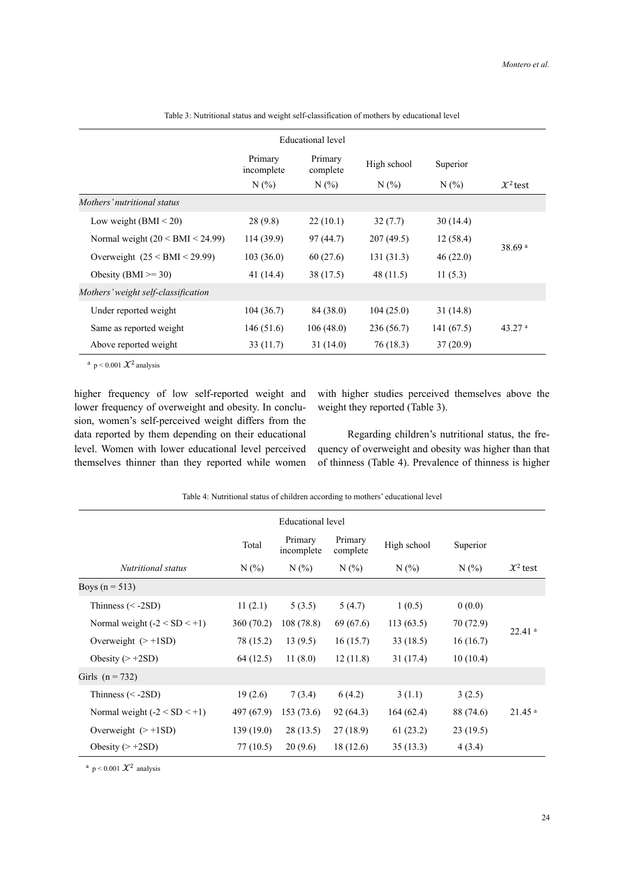|                                        | Educational level     |                     |             |           |                      |  |
|----------------------------------------|-----------------------|---------------------|-------------|-----------|----------------------|--|
|                                        | Primary<br>incomplete | Primary<br>complete | High school | Superior  |                      |  |
|                                        | N(%                   | $N(\%)$             | $N(\%)$     | $N(\%)$   | $\mathcal{X}^2$ test |  |
| Mothers' nutritional status            |                       |                     |             |           |                      |  |
| Low weight $(BMI < 20)$                | 28(9.8)               | 22(10.1)            | 32(7.7)     | 30(14.4)  |                      |  |
| Normal weight $(20 \le BMI \le 24.99)$ | 114(39.9)             | 97(44.7)            | 207(49.5)   | 12(58.4)  | 38.69 <sup>a</sup>   |  |
| Overweight $(25 < BMI < 29.99)$        | 103(36.0)             | 60(27.6)            | 131(31.3)   | 46(22.0)  |                      |  |
| Obesity (BMI $\ge$ = 30)               | 41 (14.4)             | 38 (17.5)           | 48 (11.5)   | 11(5.3)   |                      |  |
| Mothers' weight self-classification    |                       |                     |             |           |                      |  |
| Under reported weight                  | 104(36.7)             | 84 (38.0)           | 104(25.0)   | 31(14.8)  |                      |  |
| Same as reported weight                | 146(51.6)             | 106(48.0)           | 236(56.7)   | 141(67.5) | 43.27 <sup>a</sup>   |  |
| Above reported weight                  | 33(11.7)              | 31(14.0)            | 76 (18.3)   | 37(20.9)  |                      |  |

Table 3: Nutritional status and weight self-classification of mothers by educational level

<sup>a</sup> p < 0.001  $\mathcal{X}^2$  analysis

higher frequency of low self-reported weight and lower frequency of overweight and obesity. In conclusion, women's self-perceived weight differs from the data reported by them depending on their educational level. Women with lower educational level perceived themselves thinner than they reported while women with higher studies perceived themselves above the weight they reported (Table 3).

 Regarding children's nutritional status, the frequency of overweight and obesity was higher than that of thinness (Table 4). Prevalence of thinness is higher

| Educational level              |            |                       |                     |             |           |                      |
|--------------------------------|------------|-----------------------|---------------------|-------------|-----------|----------------------|
|                                | Total      | Primary<br>incomplete | Primary<br>complete | High school | Superior  |                      |
| Nutritional status             | $N(\%)$    | $N(\%)$               | $N(\%)$             | $N(\%)$     | $N(\%)$   | $\mathcal{X}^2$ test |
| Boys ( $n = 513$ )             |            |                       |                     |             |           |                      |
| Thinness $(< -2SD)$            | 11(2.1)    | 5(3.5)                | 5(4.7)              | 1(0.5)      | 0(0.0)    |                      |
| Normal weight $(-2 < SD < +1)$ | 360(70.2)  | 108(78.8)             | 69 (67.6)           | 113(63.5)   | 70 (72.9) | $22.41$ <sup>a</sup> |
| Overweight $(> +1SD)$          | 78 (15.2)  | 13(9.5)               | 16(15.7)            | 33(18.5)    | 16(16.7)  |                      |
| Obesity $(> +2SD)$             | 64 (12.5)  | 11(8.0)               | 12(11.8)            | 31(17.4)    | 10(10.4)  |                      |
| Girls $(n = 732)$              |            |                       |                     |             |           |                      |
| Thinness $(< -2SD)$            | 19(2.6)    | 7(3.4)                | 6(4.2)              | 3(1.1)      | 3(2.5)    |                      |
| Normal weight $(-2 < SD < +1)$ | 497 (67.9) | 153(73.6)             | 92 (64.3)           | 164(62.4)   | 88 (74.6) | $21.45$ <sup>a</sup> |
| Overweight $(> +1SD)$          | 139(19.0)  | 28(13.5)              | 27(18.9)            | 61(23.2)    | 23(19.5)  |                      |
| Obesity $(> +2SD)$             | 77 (10.5)  | 20(9.6)               | 18(12.6)            | 35(13.3)    | 4(3.4)    |                      |

Table 4: Nutritional status of children according to mothers' educational level

<sup>a</sup> p < 0.001  $\mathcal{X}^2$  analysis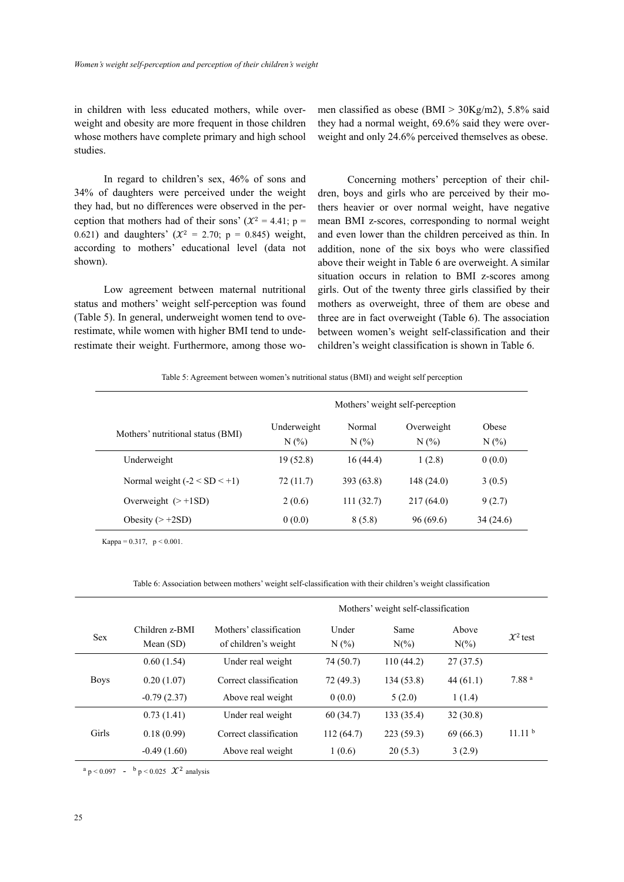in children with less educated mothers, while overweight and obesity are more frequent in those children whose mothers have complete primary and high school studies.

 In regard to children's sex, 46% of sons and 34% of daughters were perceived under the weight they had, but no differences were observed in the perception that mothers had of their sons' ( $\mathcal{X}^2 = 4.41$ ; p = 0.621) and daughters' ( $\mathcal{X}^2 = 2.70$ ; p = 0.845) weight, according to mothers' educational level (data not shown).

 Low agreement between maternal nutritional status and mothers' weight self-perception was found (Table 5). In general, underweight women tend to overestimate, while women with higher BMI tend to underestimate their weight. Furthermore, among those women classified as obese (BMI  $> 30Kg/m2$ ), 5.8% said they had a normal weight, 69.6% said they were overweight and only 24.6% perceived themselves as obese.

 Concerning mothers' perception of their children, boys and girls who are perceived by their mothers heavier or over normal weight, have negative mean BMI z-scores, corresponding to normal weight and even lower than the children perceived as thin. In addition, none of the six boys who were classified above their weight in Table 6 are overweight. A similar situation occurs in relation to BMI z-scores among girls. Out of the twenty three girls classified by their mothers as overweight, three of them are obese and three are in fact overweight (Table 6). The association between women's weight self-classification and their children's weight classification is shown in Table 6.

Table 5: Agreement between women's nutritional status (BMI) and weight self perception

|                                   | Mothers' weight self-perception |               |                   |              |  |  |
|-----------------------------------|---------------------------------|---------------|-------------------|--------------|--|--|
| Mothers' nutritional status (BMI) | Underweight<br>N(%              | Normal<br>N(% | Overweight<br>N(% | Obese<br>N(% |  |  |
| Underweight                       | 19(52.8)                        | 16(44.4)      | 1(2.8)            | 0(0.0)       |  |  |
| Normal weight $(-2 < SD < +1)$    | 72(11.7)                        | 393(63.8)     | 148(24.0)         | 3(0.5)       |  |  |
| Overweight $(> +1SD)$             | 2(0.6)                          | 111(32.7)     | 217 (64.0)        | 9(2.7)       |  |  |
| Obesity $(> +2SD)$                | 0(0.0)                          | 8(5.8)        | 96(69.6)          | 34 (24.6)    |  |  |

Kappa =  $0.317$ ,  $p < 0.001$ .

Table 6: Association between mothers' weight self-classification with their children's weight classification

|             |                               |                                                 |                  | Mothers' weight self-classification |                  |                      |
|-------------|-------------------------------|-------------------------------------------------|------------------|-------------------------------------|------------------|----------------------|
| <b>Sex</b>  | Children z-BMI<br>Mean $(SD)$ | Mothers' classification<br>of children's weight | Under<br>$N(\%)$ | Same<br>$N(\%)$                     | Above<br>$N(\%)$ | $\mathcal{X}^2$ test |
|             | 0.60(1.54)                    | Under real weight                               | 74 (50.7)        | 110(44.2)                           | 27(37.5)         |                      |
| <b>Boys</b> | 0.20(1.07)                    | Correct classification                          | 72 (49.3)        | 134(53.8)                           | 44(61.1)         | 7.88 <sup>a</sup>    |
|             | $-0.79(2.37)$                 | Above real weight                               | 0(0.0)           | 5(2.0)                              | 1(1.4)           |                      |
|             | 0.73(1.41)                    | Under real weight                               | 60(34.7)         | 133 (35.4)                          | 32(30.8)         |                      |
| Girls       | 0.18(0.99)                    | Correct classification                          | 112(64.7)        | 223(59.3)                           | 69(66.3)         | 11.11 <sup>b</sup>   |
|             | $-0.49(1.60)$                 | Above real weight                               | 1(0.6)           | 20(5.3)                             | 3(2.9)           |                      |

 $a_p < 0.097$  -  $b_p < 0.025$   $\mathcal{X}^2$  analysis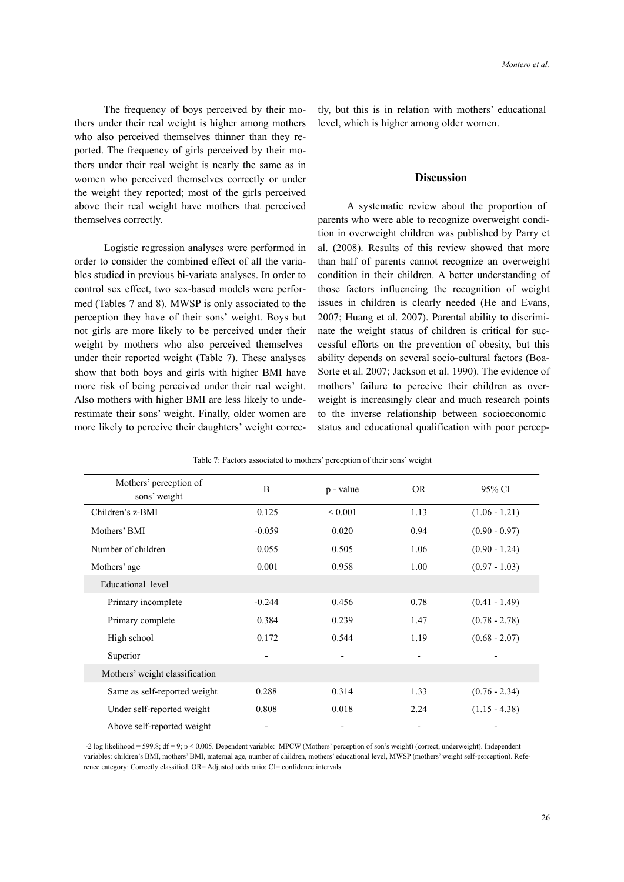The frequency of boys perceived by their mothers under their real weight is higher among mothers who also perceived themselves thinner than they reported. The frequency of girls perceived by their mothers under their real weight is nearly the same as in women who perceived themselves correctly or under the weight they reported; most of the girls perceived above their real weight have mothers that perceived themselves correctly.

 Logistic regression analyses were performed in order to consider the combined effect of all the variables studied in previous bi-variate analyses. In order to control sex effect, two sex-based models were performed (Tables 7 and 8). MWSP is only associated to the perception they have of their sons' weight. Boys but not girls are more likely to be perceived under their weight by mothers who also perceived themselves under their reported weight (Table 7). These analyses show that both boys and girls with higher BMI have more risk of being perceived under their real weight. Also mothers with higher BMI are less likely to underestimate their sons' weight. Finally, older women are more likely to perceive their daughters' weight correc-

tly, but this is in relation with mothers' educational level, which is higher among older women.

# **Discussion**

 A systematic review about the proportion of parents who were able to recognize overweight condition in overweight children was published by Parry et al. (2008). Results of this review showed that more than half of parents cannot recognize an overweight condition in their children. A better understanding of those factors influencing the recognition of weight issues in children is clearly needed (He and Evans, 2007; Huang et al. 2007). Parental ability to discriminate the weight status of children is critical for successful efforts on the prevention of obesity, but this ability depends on several socio-cultural factors (Boa-Sorte et al. 2007; Jackson et al. 1990). The evidence of mothers' failure to perceive their children as overweight is increasingly clear and much research points to the inverse relationship between socioeconomic status and educational qualification with poor percep-

| Mothers' perception of<br>sons' weight | B                        | p - value                | <b>OR</b> | 95% CI          |
|----------------------------------------|--------------------------|--------------------------|-----------|-----------------|
| Children's z-BMI                       | 0.125                    | ${}_{0.001}$             | 1.13      | $(1.06 - 1.21)$ |
| Mothers' BMI                           | $-0.059$                 | 0.020                    | 0.94      | $(0.90 - 0.97)$ |
| Number of children                     | 0.055                    | 0.505                    | 1.06      | $(0.90 - 1.24)$ |
| Mothers' age                           | 0.001                    | 0.958                    | 1.00      | $(0.97 - 1.03)$ |
| Educational level                      |                          |                          |           |                 |
| Primary incomplete                     | $-0.244$                 | 0.456                    | 0.78      | $(0.41 - 1.49)$ |
| Primary complete                       | 0.384                    | 0.239                    | 1.47      | $(0.78 - 2.78)$ |
| High school                            | 0.172                    | 0.544                    | 1.19      | $(0.68 - 2.07)$ |
| Superior                               | $\overline{\phantom{0}}$ | $\overline{\phantom{a}}$ |           |                 |
| Mothers' weight classification         |                          |                          |           |                 |
| Same as self-reported weight           | 0.288                    | 0.314                    | 1.33      | $(0.76 - 2.34)$ |
| Under self-reported weight             | 0.808                    | 0.018                    | 2.24      | $(1.15 - 4.38)$ |
| Above self-reported weight             |                          |                          |           |                 |

Table 7: Factors associated to mothers' perception of their sons' weight

 -2 log likelihood = 599.8; df = 9; p < 0.005. Dependent variable: MPCW (Mothers' perception of son's weight) (correct, underweight). Independent variables: children's BMI, mothers' BMI, maternal age, number of children, mothers' educational level, MWSP (mothers' weight self-perception). Reference category: Correctly classified. OR= Adjusted odds ratio; CI= confidence intervals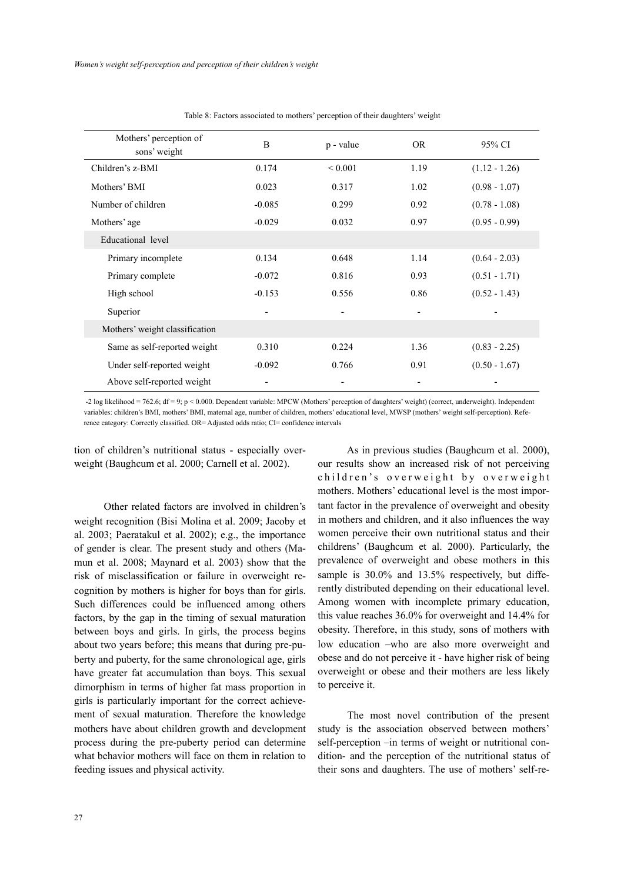| Mothers' perception of<br>sons' weight | B        | p - value    | <b>OR</b> | 95% CI          |
|----------------------------------------|----------|--------------|-----------|-----------------|
| Children's z-BMI                       | 0.174    | ${}_{0.001}$ | 1.19      | $(1.12 - 1.26)$ |
| Mothers' BMI                           | 0.023    | 0.317        | 1.02      | $(0.98 - 1.07)$ |
| Number of children                     | $-0.085$ | 0.299        | 0.92      | $(0.78 - 1.08)$ |
| Mothers' age                           | $-0.029$ | 0.032        | 0.97      | $(0.95 - 0.99)$ |
| Educational level                      |          |              |           |                 |
| Primary incomplete                     | 0.134    | 0.648        | 1.14      | $(0.64 - 2.03)$ |
| Primary complete                       | $-0.072$ | 0.816        | 0.93      | $(0.51 - 1.71)$ |
| High school                            | $-0.153$ | 0.556        | 0.86      | $(0.52 - 1.43)$ |
| Superior                               |          |              |           |                 |
| Mothers' weight classification         |          |              |           |                 |
| Same as self-reported weight           | 0.310    | 0.224        | 1.36      | $(0.83 - 2.25)$ |
| Under self-reported weight             | $-0.092$ | 0.766        | 0.91      | $(0.50 - 1.67)$ |
| Above self-reported weight             |          |              |           |                 |

Table 8: Factors associated to mothers' perception of their daughters' weight

 -2 log likelihood = 762.6; df = 9; p < 0.000. Dependent variable: MPCW (Mothers' perception of daughters' weight) (correct, underweight). Independent variables: children's BMI, mothers' BMI, maternal age, number of children, mothers' educational level, MWSP (mothers' weight self-perception). Reference category: Correctly classified. OR= Adjusted odds ratio; CI= confidence intervals

tion of children's nutritional status - especially overweight (Baughcum et al. 2000; Carnell et al. 2002).

 Other related factors are involved in children's weight recognition (Bisi Molina et al. 2009; Jacoby et al. 2003; Paeratakul et al. 2002); e.g., the importance of gender is clear. The present study and others (Mamun et al. 2008; Maynard et al. 2003) show that the risk of misclassification or failure in overweight recognition by mothers is higher for boys than for girls. Such differences could be influenced among others factors, by the gap in the timing of sexual maturation between boys and girls. In girls, the process begins about two years before; this means that during pre-puberty and puberty, for the same chronological age, girls have greater fat accumulation than boys. This sexual dimorphism in terms of higher fat mass proportion in girls is particularly important for the correct achievement of sexual maturation. Therefore the knowledge mothers have about children growth and development process during the pre-puberty period can determine what behavior mothers will face on them in relation to feeding issues and physical activity.

 As in previous studies (Baughcum et al. 2000), our results show an increased risk of not perceiving children's overweight by overweight mothers. Mothers' educational level is the most important factor in the prevalence of overweight and obesity in mothers and children, and it also influences the way women perceive their own nutritional status and their childrens' (Baughcum et al. 2000). Particularly, the prevalence of overweight and obese mothers in this sample is 30.0% and 13.5% respectively, but differently distributed depending on their educational level. Among women with incomplete primary education, this value reaches 36.0% for overweight and 14.4% for obesity. Therefore, in this study, sons of mothers with low education –who are also more overweight and obese and do not perceive it - have higher risk of being overweight or obese and their mothers are less likely to perceive it.

 The most novel contribution of the present study is the association observed between mothers' self-perception –in terms of weight or nutritional condition- and the perception of the nutritional status of their sons and daughters. The use of mothers' self-re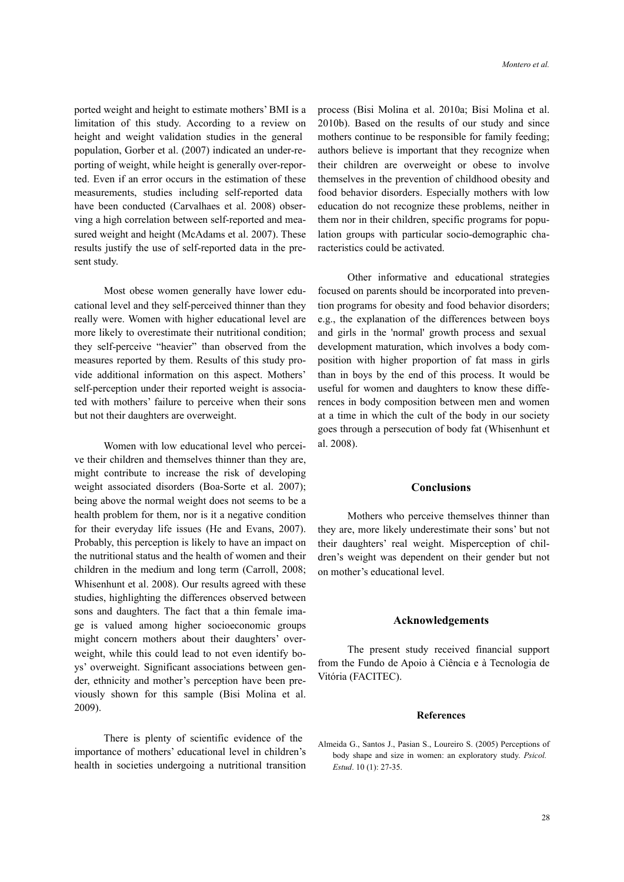ported weight and height to estimate mothers' BMI is a limitation of this study. According to a review on height and weight validation studies in the general population, Gorber et al. (2007) indicated an under-reporting of weight, while height is generally over-reported. Even if an error occurs in the estimation of these measurements, studies including self-reported data have been conducted (Carvalhaes et al. 2008) observing a high correlation between self-reported and measured weight and height (McAdams et al. 2007). These results justify the use of self-reported data in the present study.

 Most obese women generally have lower educational level and they self-perceived thinner than they really were. Women with higher educational level are more likely to overestimate their nutritional condition; they self-perceive "heavier" than observed from the measures reported by them. Results of this study provide additional information on this aspect. Mothers' self-perception under their reported weight is associated with mothers' failure to perceive when their sons but not their daughters are overweight.

 Women with low educational level who perceive their children and themselves thinner than they are, might contribute to increase the risk of developing weight associated disorders (Boa-Sorte et al. 2007); being above the normal weight does not seems to be a health problem for them, nor is it a negative condition for their everyday life issues (He and Evans, 2007). Probably, this perception is likely to have an impact on the nutritional status and the health of women and their children in the medium and long term (Carroll, 2008; Whisenhunt et al. 2008). Our results agreed with these studies, highlighting the differences observed between sons and daughters. The fact that a thin female image is valued among higher socioeconomic groups might concern mothers about their daughters' overweight, while this could lead to not even identify boys' overweight. Significant associations between gender, ethnicity and mother's perception have been previously shown for this sample (Bisi Molina et al. 2009).

 There is plenty of scientific evidence of the importance of mothers' educational level in children's health in societies undergoing a nutritional transition

process (Bisi Molina et al. 2010a; Bisi Molina et al. 2010b). Based on the results of our study and since mothers continue to be responsible for family feeding; authors believe is important that they recognize when their children are overweight or obese to involve themselves in the prevention of childhood obesity and food behavior disorders. Especially mothers with low education do not recognize these problems, neither in them nor in their children, specific programs for population groups with particular socio-demographic characteristics could be activated.

 Other informative and educational strategies focused on parents should be incorporated into prevention programs for obesity and food behavior disorders; e.g., the explanation of the differences between boys and girls in the 'normal' growth process and sexual development maturation, which involves a body composition with higher proportion of fat mass in girls than in boys by the end of this process. It would be useful for women and daughters to know these differences in body composition between men and women at a time in which the cult of the body in our society goes through a persecution of body fat (Whisenhunt et al. 2008).

# **Conclusions**

Mothers who perceive themselves thinner than they are, more likely underestimate their sons' but not their daughters' real weight. Misperception of children's weight was dependent on their gender but not on mother's educational level.

#### **Acknowledgements**

The present study received financial support from the Fundo de Apoio à Ciência e à Tecnologia de Vitória (FACITEC).

# **References**

Almeida G., Santos J., Pasian S., Loureiro S. (2005) Perceptions of body shape and size in women: an exploratory study. *Psicol. Estud*. 10 (1): 27-35.